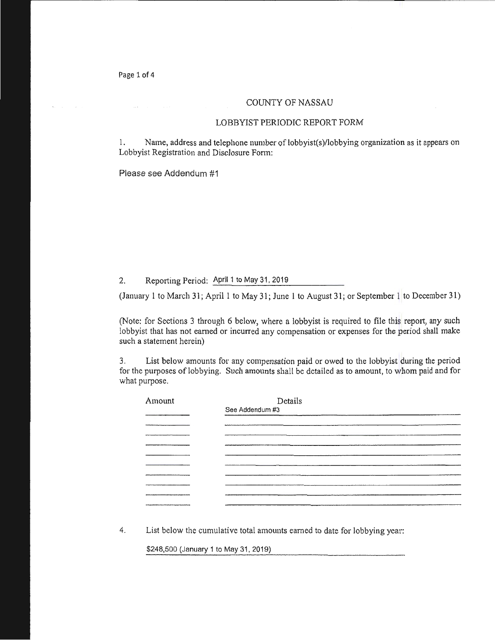Page 1 of 4

### COUNTY OF NASSAU

#### LOBBYIST PERIODIC REPORT FORM

1. Name, address and telephone number of lobbyist(s)/lobbying organization as it appears on Lobbyist Registration and Disclosure Fonn:

Please see Addendum #1

2. Reporting Period: April 1 to May 31, 2019

(January 1 to March 31; April 1 to May 31; June 1 to August 31; or September 1 to December 31)

(Note: for Sections 3 through 6 below, where a lobbyist is required to file this report, any such lobbyist that has not earned or incurred any compensation or expenses for the period shall make such a statement herein)

3. List below amounts for any compensation paid or owed to the lobbyist during the period for the purposes of lobbying. Such amounts shall be detailed as to amount, to whom paid and for what purpose.

| Amount              | Details         |
|---------------------|-----------------|
|                     | See Addendum #3 |
|                     |                 |
|                     |                 |
|                     |                 |
|                     |                 |
|                     |                 |
|                     |                 |
|                     |                 |
|                     |                 |
|                     |                 |
| ------------------- |                 |

4. List below the cumulative total amounts earned to date for lobbying year:

\$248,500 (January 1 to May 31, 2019)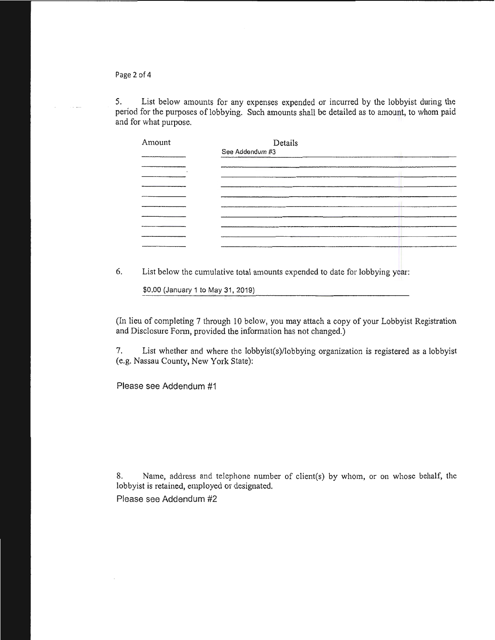Page 2 of 4

5. List below amounts for any expenses expended or incurred by the lobbyist during the period for the purposes of lobbying. Such amounts shall be detailed as to amount, to whom paid and for what purpose.

| Amount | Details         |
|--------|-----------------|
|        | See Addendum #3 |
|        |                 |
|        |                 |
|        |                 |
|        |                 |
|        |                 |
|        |                 |
|        |                 |
|        |                 |
|        |                 |

6. List below the cumulative total amounts expended to date for lobbying year:

\$0.00 (January 1 to May 31, 2019)

(In lieu of completing 7 through 10 below, you may attach a copy of your Lobbyist Registration and Disclosure Fonn, provided the information has not changed.)

7. List whether and where the lobbyist(s)/lobbying organization is registered as a lobbyist (e.g. Nassau County, New York State):

Please see Addendum #1

8. Name, address and telephone number of client(s) by whom, or on whose behalf, the lobbyist is retained, employed or designated.

Please see Addendum #2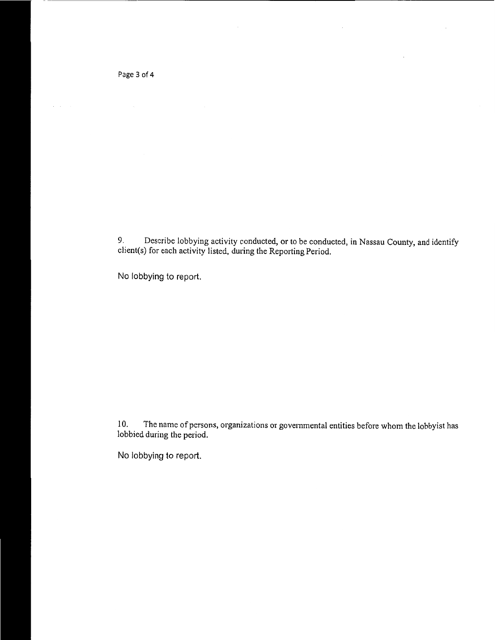Page 3 of 4

 $\mathbb{R}^2$ 

9. Describe lobbying activity conducted, or to be conducted, in Nassau County, and identify client(s) for each activity listed, during the Reporting Period.

 $\bar{z}$ 

No lobbying to report.

l 0. The name of persons, organizations or governmental entities before whom the lobbyist has lobbied during the period.

No lobbying to report.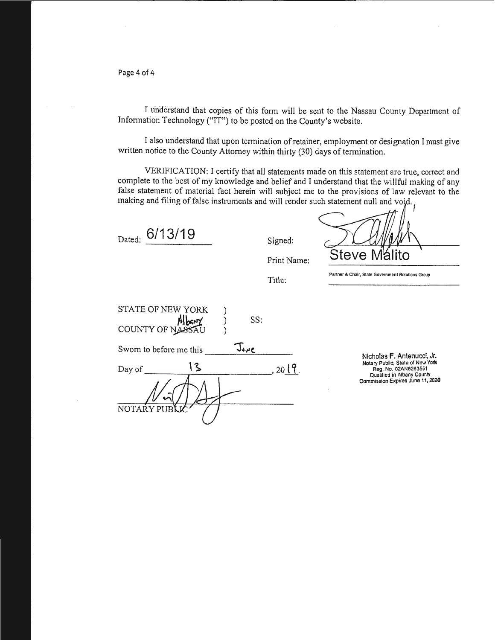Page 4 of 4

I understand that copies of this form will be sent to the Nassau County Department of Information Technology ("IT") to be posted on the County's website.

I also understand that upon termination of retainer, employment or designation I must give written notice to the County Attorney within thirty (30) days of termination.

VERIFICATION: I certify that all statements made on this statement are true, conect and complete to the best of my knowledge and belief and I understand that the willful making of any false statement of material fact herein will subject me to the provisions of law relevant to the making and filing of false instruments and will render such statement null and void,

| Dated: | 6/13/19 |
|--------|---------|
|        |         |

Signed:

Title:

Steve N alito

**Partner & Chair, State Governmen1 Relations Group** 

| <b>STATE OF NEW YORK</b><br>COUNTY OF NASSAU | SS:  |      |
|----------------------------------------------|------|------|
| Sworn to before me this                      | Juue |      |
| 13<br>Day of                                 |      | 2019 |
|                                              |      |      |
| NOTARY PUB                                   |      |      |

Nicholas F. Antenucci, Jr. Notary Public, State or New York Reg. No.02AN6263551 Qualified in Albany County Commission Expires June 11,2020

Print Name: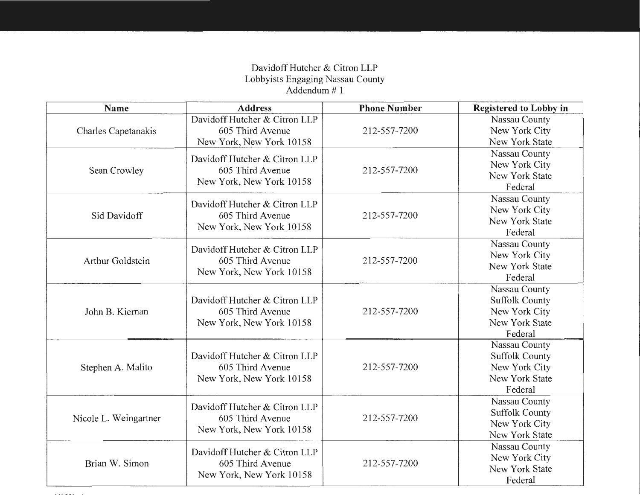# DavidoffHutcher & Citron LLP Lobbyists Engaging Nassau County Addendum# 1

| <b>Name</b>           | <b>Address</b>                                                                | <b>Phone Number</b> | <b>Registered to Lobby in</b>                                                        |
|-----------------------|-------------------------------------------------------------------------------|---------------------|--------------------------------------------------------------------------------------|
| Charles Capetanakis   | Davidoff Hutcher & Citron LLP<br>605 Third Avenue<br>New York, New York 10158 | 212-557-7200        | Nassau County<br>New York City<br>New York State                                     |
| Sean Crowley          | Davidoff Hutcher & Citron LLP<br>605 Third Avenue<br>New York, New York 10158 | 212-557-7200        | Nassau County<br>New York City<br>New York State<br>Federal                          |
| Sid Davidoff          | Davidoff Hutcher & Citron LLP<br>605 Third Avenue<br>New York, New York 10158 | 212-557-7200        | Nassau County<br>New York City<br>New York State<br>Federal                          |
| Arthur Goldstein      | Davidoff Hutcher & Citron LLP<br>605 Third Avenue<br>New York, New York 10158 | 212-557-7200        | Nassau County<br>New York City<br>New York State<br>Federal                          |
| John B. Kiernan       | Davidoff Hutcher & Citron LLP<br>605 Third Avenue<br>New York, New York 10158 | 212-557-7200        | Nassau County<br><b>Suffolk County</b><br>New York City<br>New York State<br>Federal |
| Stephen A. Malito     | Davidoff Hutcher & Citron LLP<br>605 Third Avenue<br>New York, New York 10158 | 212-557-7200        | Nassau County<br><b>Suffolk County</b><br>New York City<br>New York State<br>Federal |
| Nicole L. Weingartner | Davidoff Hutcher & Citron LLP<br>605 Third Avenue<br>New York, New York 10158 | 212-557-7200        | Nassau County<br><b>Suffolk County</b><br>New York City<br>New York State            |
| Brian W. Simon        | Davidoff Hutcher & Citron LLP<br>605 Third Avenue<br>New York, New York 10158 | 212-557-7200        | Nassau County<br>New York City<br>New York State<br>Federal                          |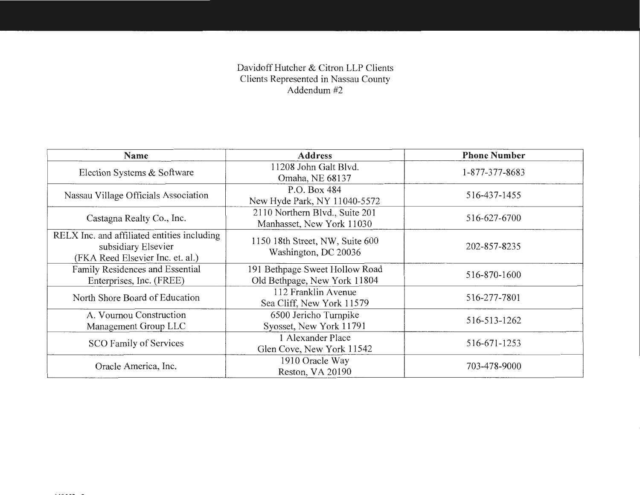### Davidoff Hutcher & Citron LLP Clients Clients Represented in Nassau County Addendum #2

| Name                                                                                                   | <b>Address</b>                                                 | <b>Phone Number</b> |
|--------------------------------------------------------------------------------------------------------|----------------------------------------------------------------|---------------------|
| Election Systems & Software                                                                            | 11208 John Galt Blvd.<br>Omaha, NE 68137                       | 1-877-377-8683      |
| Nassau Village Officials Association                                                                   | P.O. Box 484<br>New Hyde Park, NY 11040-5572                   | 516-437-1455        |
| Castagna Realty Co., Inc.                                                                              | 2110 Northern Blvd., Suite 201<br>Manhasset, New York 11030    | 516-627-6700        |
| RELX Inc. and affiliated entities including<br>subsidiary Elsevier<br>(FKA Reed Elsevier Inc. et. al.) | 1150 18th Street, NW, Suite 600<br>Washington, DC 20036        | 202-857-8235        |
| Family Residences and Essential<br>Enterprises, Inc. (FREE)                                            | 191 Bethpage Sweet Hollow Road<br>Old Bethpage, New York 11804 | 516-870-1600        |
| North Shore Board of Education                                                                         | 112 Franklin Avenue<br>Sea Cliff, New York 11579               | 516-277-7801        |
| A. Vournou Construction<br>Management Group LLC                                                        | 6500 Jericho Turnpike<br>Syosset, New York 11791               | 516-513-1262        |
| <b>SCO Family of Services</b>                                                                          | 1 Alexander Place<br>Glen Cove, New York 11542                 | 516-671-1253        |
| Oracle America, Inc.                                                                                   | 1910 Oracle Way<br>Reston, VA 20190                            | 703-478-9000        |